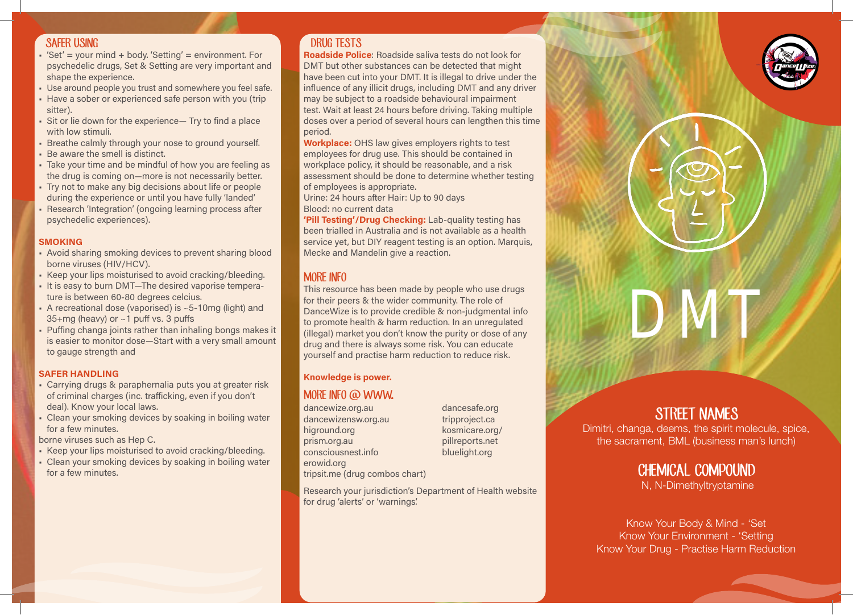### SAFER USING

- $•$  'Set' = your mind  $+$  body. 'Setting' = environment. For psychedelic drugs, Set & Setting are very important and shape the experience.
- Use around people you trust and somewhere you feel safe.
- Have a sober or experienced safe person with you (trip sitter).
- Sit or lie down for the experience— Try to find a place with low stimuli.
- Breathe calmly through your nose to ground yourself.
- Be aware the smell is distinct.
- Take your time and be mindful of how you are feeling as the drug is coming on—more is not necessarily better.
- Try not to make any big decisions about life or people during the experience or until you have fully 'landed'
- Research 'Integration' (ongoing learning process after psychedelic experiences).

#### **SMOKING**

- Avoid sharing smoking devices to prevent sharing blood borne viruses (HIV/HCV).
- Keep your lips moisturised to avoid cracking/bleeding.
- It is easy to burn DMT—The desired vaporise temperature is between 60-80 degrees celcius.
- A recreational dose (vaporised) is  $\sim$  5-10mg (light) and 35+mg (heavy) or ~1 puff vs. 3 puffs
- Puffing changa joints rather than inhaling bongs makes it is easier to monitor dose—Start with a very small amount to gauge strength and

#### SAFER HANDLING

- Carrying drugs & paraphernalia puts you at greater risk of criminal charges (inc. trafficking, even if you don't deal). Know your local laws.
- Clean your smoking devices by soaking in boiling water for a few minutes.

borne viruses such as Hep C.

- Keep your lips moisturised to avoid cracking/bleeding.
- Clean your smoking devices by soaking in boiling water for a few minutes.

## DRUG TESTS

Roadside Police: Roadside saliva tests do not look for DMT but other substances can be detected that might have been cut into your DMT. It is illegal to drive under the influence of any illicit drugs, including DMT and any driver may be subject to a roadside behavioural impairment test. Wait at least 24 hours before driving. Taking multiple doses over a period of several hours can lengthen this time period.

Workplace: OHS law gives employers rights to test employees for drug use. This should be contained in workplace policy, it should be reasonable, and a risk assessment should be done to determine whether testing of employees is appropriate.

Urine: 24 hours after Hair: Up to 90 days Blood: no current data

'Pill Testing'/Drug Checking: Lab-quality testing has been trialled in Australia and is not available as a health service yet, but DIY reagent testing is an option. Marquis, Mecke and Mandelin give a reaction.

## MORE INFO

 DanceWize is to provide credible & non-judgmental info This resource has been made by people who use drugs for their peers & the wider community. The role of to promote health & harm reduction. In an unregulated (illegal) market you don't know the purity or dose of any drug and there is always some risk. You can educate yourself and practise harm reduction to reduce risk.

#### Knowledge is power.

## MORE INFO @ WWW.

dancewize.org.au dancewizensw.org.au higround.org prism.org.au consciousnest.info erowid.org tripsit.me (drug combos chart) dancesafe.org tripproject.ca kosmicare.org/ pillreports.net bluelight.org

Research your jurisdiction's Department of Health website for drug 'alerts' or 'warnings'.

# STREET NAMES

DMT

Dimitri, changa, deems, the spirit molecule, spice, the sacrament, BML (business man's lunch)

# CHEMICAL COMPOUND

N, N-Dimethyltryptamine

Know Your Body & Mind - 'Set Know Your Environment - 'Setting Know Your Drug - Practise Harm Reduction